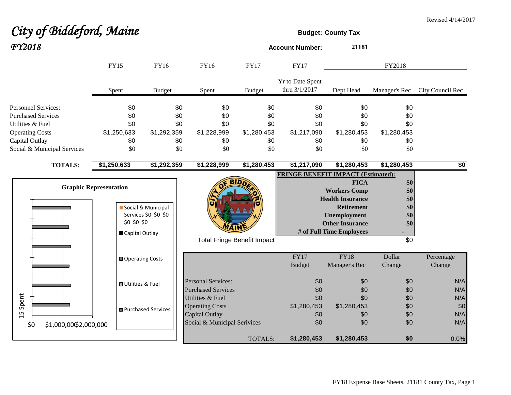## *City of Biddeford, Maine* **Budget:** County Tax *FY2018* **Account Number: <sup>21181</sup>** FY15 FY16 FY16 FY17 FY17 Spent Budget Spent Budget Yr to Date Spent thru 3/1/2017 Dept Head Manager's Rec City Council Rec Personnel Services: \$0 \$0 \$0 \$0 \$0 \$0 \$0 Purchased Services \$0 \$0 \$0 \$0 \$0 \$0 \$0 Utilities & Fuel \$0 \$0 \$0 \$0 \$0 \$0 \$0 Operating Costs \$1,250,633 \$1,292,359 \$1,228,999 \$1,280,453 \$1,217,090 \$1,280,453 \$1,280,453 Capital Outlay \$0 \$0 \$0 \$0 \$0 \$0 \$0 Social & Municipal Services \$0 \$0 \$0 \$0 \$0 \$0 \$0 **TOTALS: \$1,250,633 \$1,292,359 \$1,228,999 \$1,280,453 \$1,217,090 \$1,280,453 \$1,280,453 \$0 FRINGE BENEFIT IMPACT (Estimated):** FY2018

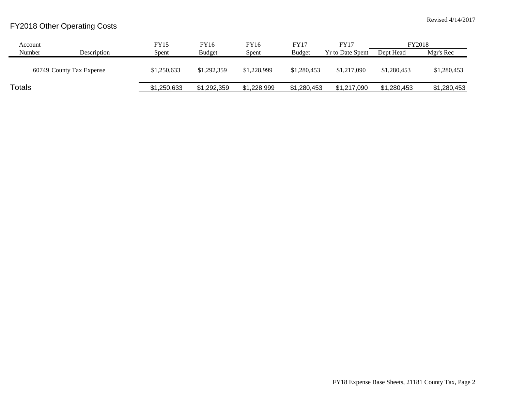## FY2018 Other Operating Costs

| Account       |                          | FY15        | FY16          | FY16        | <b>FY17</b>   | FY17                    | FY2018      |             |
|---------------|--------------------------|-------------|---------------|-------------|---------------|-------------------------|-------------|-------------|
| Number        | Description              | Spent       | <b>Budget</b> | Spent       | <b>Budget</b> | <b>Yr to Date Spent</b> | Dept Head   | Mgr's Rec   |
|               | 60749 County Tax Expense | \$1,250,633 | \$1,292,359   | \$1,228,999 | \$1,280,453   | \$1,217,090             | \$1,280,453 | \$1,280,453 |
| <b>Totals</b> |                          | \$1,250,633 | \$1,292,359   | \$1,228,999 | \$1,280,453   | \$1,217,090             | \$1.280.453 | \$1,280,453 |